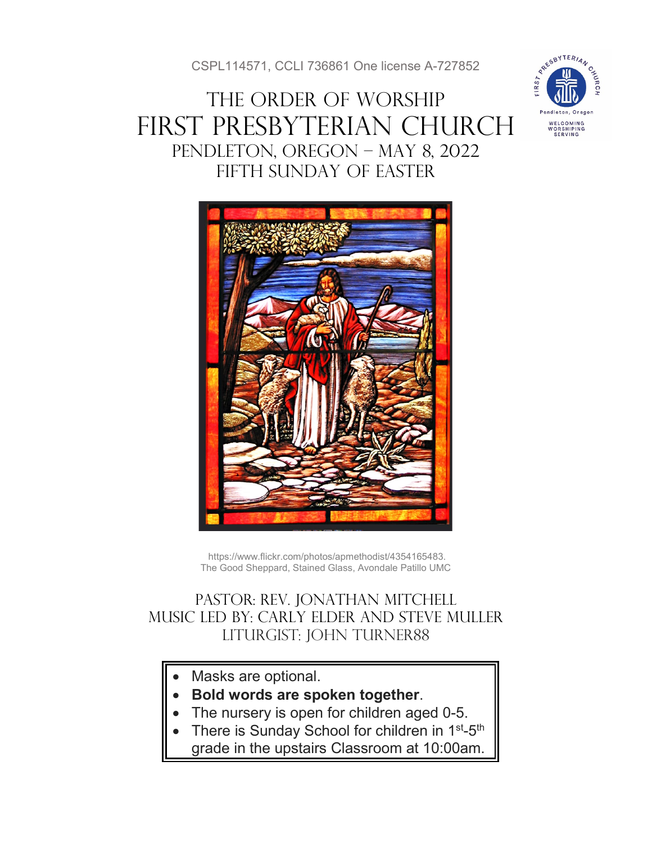CSPL114571, CCLI 736861 One license A-727852

# THE ORDER OF WORSHIP First Presbyterian Church Pendleton, Oregon – May 8, 2022 Fifth SUNDAY of Easter





https://www.flickr.com/photos/apmethodist/4354165483. The Good Sheppard, Stained Glass, Avondale Patillo UMC

# Pastor: Rev. Jonathan Mitchell Music Led by: Carly Elder and Steve muller Liturgist: John Turner88

- Masks are optional.
- **Bold words are spoken together**.
- The nursery is open for children aged 0-5.
- There is Sunday School for children in 1<sup>st</sup>-5<sup>th</sup>
	- grade in the upstairs Classroom at 10:00am.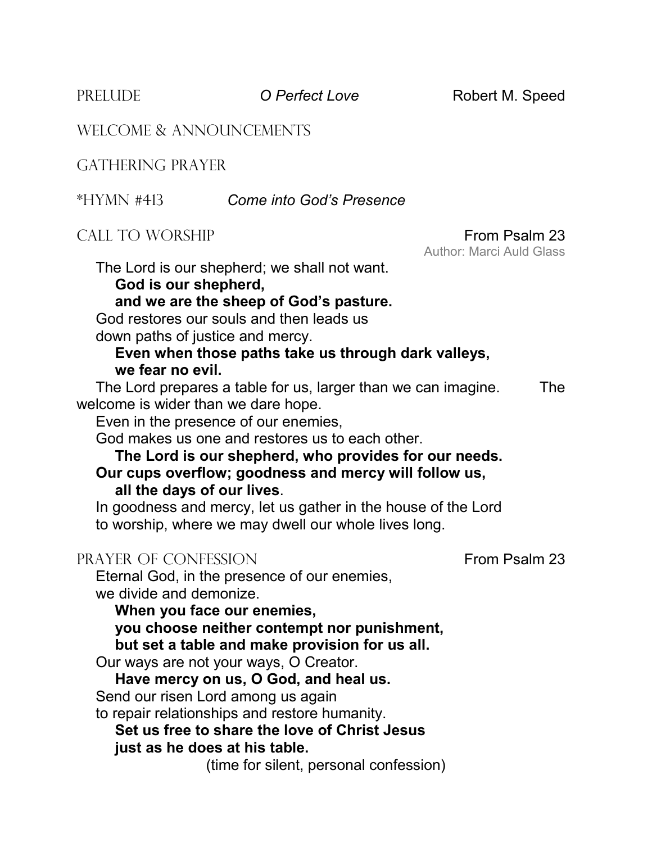PRELUDE **O Perfect Love** Robert M. Speed

Author: Marci Auld Glass

WELCOME & ANNOUNCEMENTS

GATHERING PRAYER

#### \*HYMN #413 *Come into God's Presence*

## CALL TO WORSHIP **From Psalm 23**

The Lord is our shepherd; we shall not want.

**God is our shepherd,** 

**and we are the sheep of God's pasture.**

God restores our souls and then leads us down paths of justice and mercy.

#### **Even when those paths take us through dark valleys, we fear no evil.**

The Lord prepares a table for us, larger than we can imagine. The welcome is wider than we dare hope.

Even in the presence of our enemies,

God makes us one and restores us to each other.

#### **The Lord is our shepherd, who provides for our needs. Our cups overflow; goodness and mercy will follow us, all the days of our lives**.

In goodness and mercy, let us gather in the house of the Lord to worship, where we may dwell our whole lives long.

#### PRAYER OF CONFESSION FRAYER OF CONFESSION

Eternal God, in the presence of our enemies, we divide and demonize.

**When you face our enemies,**

**you choose neither contempt nor punishment, but set a table and make provision for us all.**

Our ways are not your ways, O Creator.

# **Have mercy on us, O God, and heal us.**

Send our risen Lord among us again

to repair relationships and restore humanity.

# **Set us free to share the love of Christ Jesus just as he does at his table.**

(time for silent, personal confession)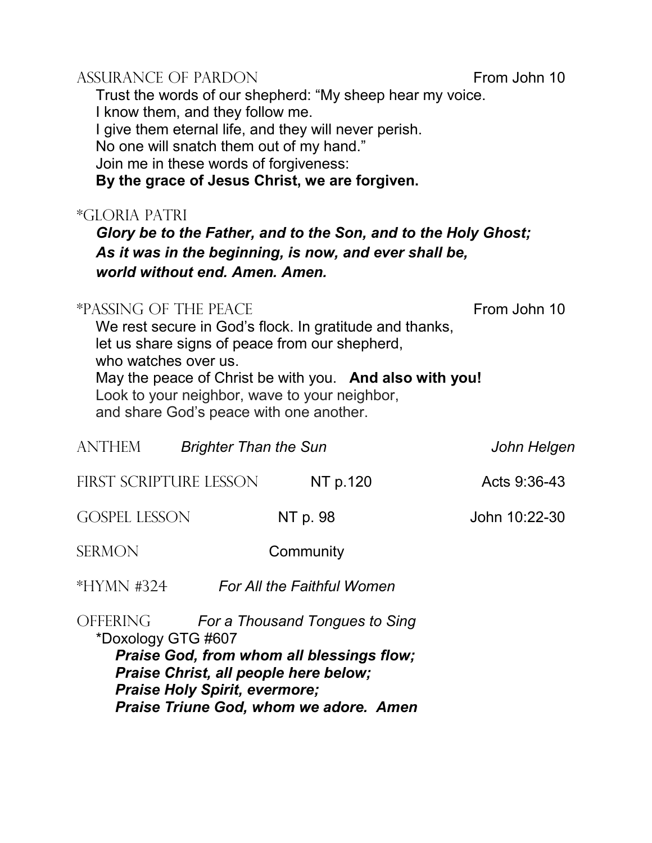#### ASSURANCE OF PARDON From John 10

Trust the words of our shepherd: "My sheep hear my voice. I know them, and they follow me. I give them eternal life, and they will never perish.

No one will snatch them out of my hand."

Join me in these words of forgiveness:

**By the grace of Jesus Christ, we are forgiven.**

# \*GLORIA PATRI

*Glory be to the Father, and to the Son, and to the Holy Ghost; As it was in the beginning, is now, and ever shall be, world without end. Amen. Amen.*

# \*PASSING OF THE PEACE FROM THE FROM THE FROM THE FROM THE FROM THE FROM THE FROM THE FROM THE FROM THE FROM THE ST

We rest secure in God's flock. In gratitude and thanks, let us share signs of peace from our shepherd, who watches over us. May the peace of Christ be with you. **And also with you!** Look to your neighbor, wave to your neighbor, and share God's peace with one another.

| <b>ANTHEM</b>                                                                                                                                                                                  | <b>Brighter Than the Sun</b> |                            | John Helgen   |
|------------------------------------------------------------------------------------------------------------------------------------------------------------------------------------------------|------------------------------|----------------------------|---------------|
|                                                                                                                                                                                                | FIRST SCRIPTURE LESSON       | NT p.120                   | Acts 9:36-43  |
| <b>GOSPEL LESSON</b>                                                                                                                                                                           |                              | NT p. 98                   | John 10:22-30 |
| <b>SERMON</b>                                                                                                                                                                                  |                              | Community                  |               |
| $*HYMN$ #324                                                                                                                                                                                   |                              | For All the Faithful Women |               |
| OFFERING<br>For a Thousand Tongues to Sing<br>*Doxology GTG #607<br>Praise God, from whom all blessings flow;<br>Praise Christ, all people here below;<br><b>Praise Holy Spirit, evermore;</b> |                              |                            |               |

*Praise Triune God, whom we adore. Amen*